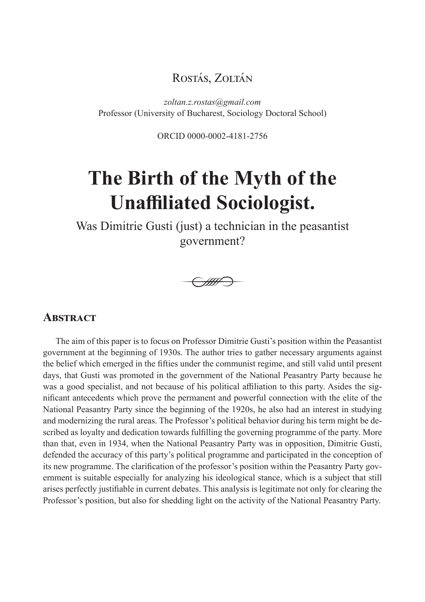# Rostás, Zoltán

*zoltan.z.rostas@gmail.com* Professor (University of Bucharest, Sociology Doctoral School)

ORCID 0000-0002-4181-2756

# **The Birth of the Myth of the Unaffiliated Sociologist.**

Was Dimitrie Gusti (just) a technician in the peasantist government?

W.

#### **ABSTRACT**

The aim of this paper is to focus on Professor Dimitrie Gusti's position within the Peasantist government at the beginning of 1930s. The author tries to gather necessary arguments against the belief which emerged in the fifties under the communist regime, and still valid until present days, that Gusti was promoted in the government of the National Peasantry Party because he was a good specialist, and not because of his political affiliation to this party. Asides the significant antecedents which prove the permanent and powerful connection with the elite of the National Peasantry Party since the beginning of the 1920s, he also had an interest in studying and modernizing the rural areas. The Professor's political behavior during his term might be described as loyalty and dedication towards fulfilling the governing programme of the party. More than that, even in 1934, when the National Peasantry Party was in opposition, Dimitrie Gusti, defended the accuracy of this party's political programme and participated in the conception of its new programme. The clarification of the professor's position within the Peasantry Party government is suitable especially for analyzing his ideological stance, which is a subject that still arises perfectly justifiable in current debates. This analysis is legitimate not only for clearing the Professor's position, but also for shedding light on the activity of the National Peasantry Party.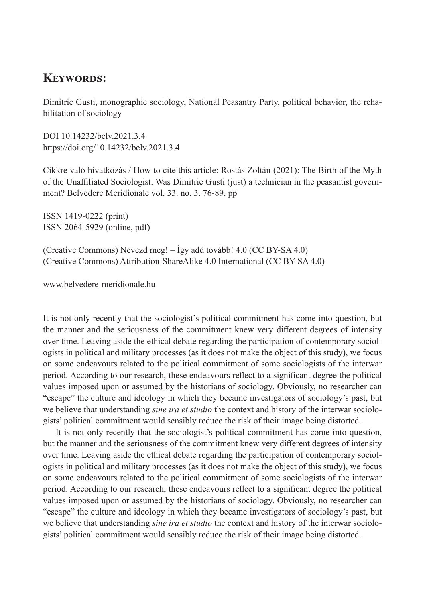### **Keywords:**

Dimitrie Gusti, monographic sociology, National Peasantry Party, political behavior, the rehabilitation of sociology

DOI 10.14232/belv.2021.3.4 https://doi.org/10.14232/belv.2021.3.4

Cikkre való hivatkozás / How to cite this article: Rostás Zoltán (2021): The Birth of the Myth of the Unaffiliated Sociologist. Was Dimitrie Gusti (just) a technician in the peasantist government? Belvedere Meridionale vol. 33. no. 3. 76-89. pp

ISSN 1419-0222 (print) ISSN 2064-5929 (online, pdf)

(Creative Commons) Nevezd meg! – Így add tovább! 4.0 (CC BY-SA 4.0) (Creative Commons) Attribution-ShareAlike 4.0 International (CC BY-SA 4.0)

www.belvedere-meridionale.hu

It is not only recently that the sociologist's political commitment has come into question, but the manner and the seriousness of the commitment knew very different degrees of intensity over time. Leaving aside the ethical debate regarding the participation of contemporary sociologists in political and military processes (as it does not make the object of this study), we focus on some endeavours related to the political commitment of some sociologists of the interwar period. According to our research, these endeavours reflect to a significant degree the political values imposed upon or assumed by the historians of sociology. Obviously, no researcher can "escape" the culture and ideology in which they became investigators of sociology's past, but we believe that understanding *sine ira et studio* the context and history of the interwar sociologists' political commitment would sensibly reduce the risk of their image being distorted.

It is not only recently that the sociologist's political commitment has come into question, but the manner and the seriousness of the commitment knew very different degrees of intensity over time. Leaving aside the ethical debate regarding the participation of contemporary sociologists in political and military processes (as it does not make the object of this study), we focus on some endeavours related to the political commitment of some sociologists of the interwar period. According to our research, these endeavours reflect to a significant degree the political values imposed upon or assumed by the historians of sociology. Obviously, no researcher can "escape" the culture and ideology in which they became investigators of sociology's past, but we believe that understanding *sine ira et studio* the context and history of the interwar sociologists' political commitment would sensibly reduce the risk of their image being distorted.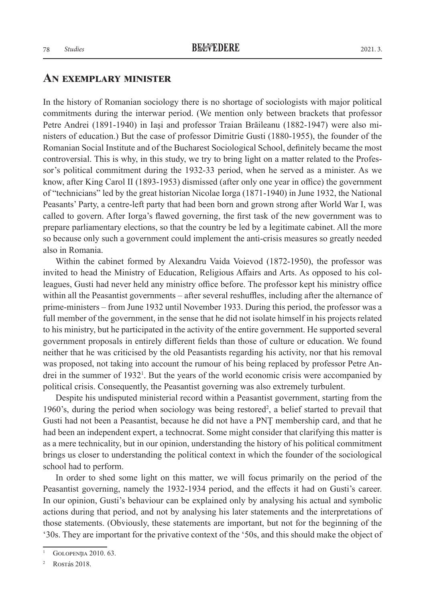#### **An exemplary minister**

In the history of Romanian sociology there is no shortage of sociologists with major political commitments during the interwar period. (We mention only between brackets that professor Petre Andrei (1891-1940) in Iași and professor Traian Brăileanu (1882-1947) were also ministers of education.) But the case of professor Dimitrie Gusti (1880-1955), the founder of the Romanian Social Institute and of the Bucharest Sociological School, definitely became the most controversial. This is why, in this study, we try to bring light on a matter related to the Professor's political commitment during the 1932-33 period, when he served as a minister. As we know, after King Carol II (1893-1953) dismissed (after only one year in office) the government of "technicians" led by the great historian Nicolae Iorga (1871-1940) in June 1932, the National Peasants' Party, a centre-left party that had been born and grown strong after World War I, was called to govern. After Iorga's flawed governing, the first task of the new government was to prepare parliamentary elections, so that the country be led by a legitimate cabinet. All the more so because only such a government could implement the anti-crisis measures so greatly needed also in Romania.

Within the cabinet formed by Alexandru Vaida Voievod (1872-1950), the professor was invited to head the Ministry of Education, Religious Affairs and Arts. As opposed to his colleagues, Gusti had never held any ministry office before. The professor kept his ministry office within all the Peasantist governments – after several reshuffles, including after the alternance of prime-ministers – from June 1932 until November 1933. During this period, the professor was a full member of the government, in the sense that he did not isolate himself in his projects related to his ministry, but he participated in the activity of the entire government. He supported several government proposals in entirely different fields than those of culture or education. We found neither that he was criticised by the old Peasantists regarding his activity, nor that his removal was proposed, not taking into account the rumour of his being replaced by professor Petre Andrei in the summer of 1932<sup>1</sup>. But the years of the world economic crisis were accompanied by political crisis. Consequently, the Peasantist governing was also extremely turbulent.

Despite his undisputed ministerial record within a Peasantist government, starting from the 1960's, during the period when sociology was being restored<sup>2</sup>, a belief started to prevail that Gusti had not been a Peasantist, because he did not have a PNŢ membership card, and that he had been an independent expert, a technocrat. Some might consider that clarifying this matter is as a mere technicality, but in our opinion, understanding the history of his political commitment brings us closer to understanding the political context in which the founder of the sociological school had to perform.

In order to shed some light on this matter, we will focus primarily on the period of the Peasantist governing, namely the 1932-1934 period, and the effects it had on Gusti's career. In our opinion, Gusti's behaviour can be explained only by analysing his actual and symbolic actions during that period, and not by analysing his later statements and the interpretations of those statements. (Obviously, these statements are important, but not for the beginning of the '30s. They are important for the privative context of the '50s, and this should make the object of

<sup>&</sup>lt;sup>1</sup> GOLOPENIIA 2010. 63.

<sup>&</sup>lt;sup>2</sup> Rostás 2018.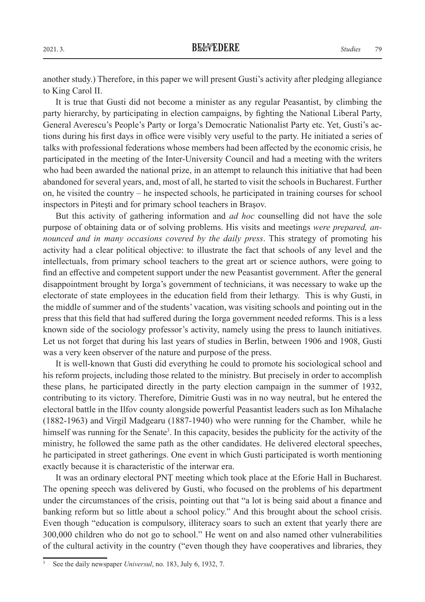another study.) Therefore, in this paper we will present Gusti's activity after pledging allegiance to King Carol II.

It is true that Gusti did not become a minister as any regular Peasantist, by climbing the party hierarchy, by participating in election campaigns, by fighting the National Liberal Party, General Averescu's People's Party or Iorga's Democratic Nationalist Party etc. Yet, Gusti's actions during his first days in office were visibly very useful to the party. He initiated a series of talks with professional federations whose members had been affected by the economic crisis, he participated in the meeting of the Inter-University Council and had a meeting with the writers who had been awarded the national prize, in an attempt to relaunch this initiative that had been abandoned for several years, and, most of all, he started to visit the schools in Bucharest. Further on, he visited the country – he inspected schools, he participated in training courses for school inspectors in Piteşti and for primary school teachers in Braşov.

But this activity of gathering information and *ad hoc* counselling did not have the sole purpose of obtaining data or of solving problems. His visits and meetings *were prepared, announced and in many occasions covered by the daily press*. This strategy of promoting his activity had a clear political objective: to illustrate the fact that schools of any level and the intellectuals, from primary school teachers to the great art or science authors, were going to find an effective and competent support under the new Peasantist government. After the general disappointment brought by Iorga's government of technicians, it was necessary to wake up the electorate of state employees in the education field from their lethargy. This is why Gusti, in the middle of summer and of the students' vacation, was visiting schools and pointing out in the press that this field that had suffered during the Iorga government needed reforms. This is a less known side of the sociology professor's activity, namely using the press to launch initiatives. Let us not forget that during his last years of studies in Berlin, between 1906 and 1908, Gusti was a very keen observer of the nature and purpose of the press.

It is well-known that Gusti did everything he could to promote his sociological school and his reform projects, including those related to the ministry. But precisely in order to accomplish these plans, he participated directly in the party election campaign in the summer of 1932, contributing to its victory. Therefore, Dimitrie Gusti was in no way neutral, but he entered the electoral battle in the Ilfov county alongside powerful Peasantist leaders such as Ion Mihalache (1882-1963) and Virgil Madgearu (1887-1940) who were running for the Chamber, while he himself was running for the Senate<sup>3</sup>. In this capacity, besides the publicity for the activity of the ministry, he followed the same path as the other candidates. He delivered electoral speeches, he participated in street gatherings. One event in which Gusti participated is worth mentioning exactly because it is characteristic of the interwar era.

It was an ordinary electoral PNȚ meeting which took place at the Eforie Hall in Bucharest. The opening speech was delivered by Gusti, who focused on the problems of his department under the circumstances of the crisis, pointing out that "a lot is being said about a finance and banking reform but so little about a school policy." And this brought about the school crisis. Even though "education is compulsory, illiteracy soars to such an extent that yearly there are 300,000 children who do not go to school." He went on and also named other vulnerabilities of the cultural activity in the country ("even though they have cooperatives and libraries, they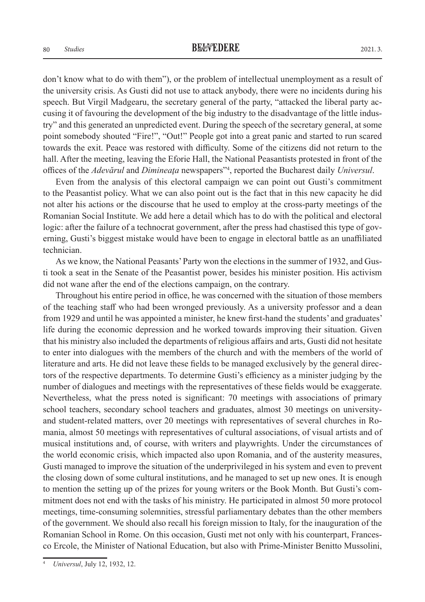don't know what to do with them"), or the problem of intellectual unemployment as a result of the university crisis. As Gusti did not use to attack anybody, there were no incidents during his speech. But Virgil Madgearu, the secretary general of the party, "attacked the liberal party accusing it of favouring the development of the big industry to the disadvantage of the little industry" and this generated an unpredicted event. During the speech of the secretary general, at some point somebody shouted "Fire!", "Out!" People got into a great panic and started to run scared towards the exit. Peace was restored with difficulty. Some of the citizens did not return to the hall. After the meeting, leaving the Eforie Hall, the National Peasantists protested in front of the offices of the *Adevărul* and *Dimineaţa* newspapers"4 , reported the Bucharest daily *Universul*.

Even from the analysis of this electoral campaign we can point out Gusti's commitment to the Peasantist policy. What we can also point out is the fact that in this new capacity he did not alter his actions or the discourse that he used to employ at the cross-party meetings of the Romanian Social Institute. We add here a detail which has to do with the political and electoral logic: after the failure of a technocrat government, after the press had chastised this type of governing, Gusti's biggest mistake would have been to engage in electoral battle as an unaffiliated technician.

As we know, the National Peasants' Party won the elections in the summer of 1932, and Gusti took a seat in the Senate of the Peasantist power, besides his minister position. His activism did not wane after the end of the elections campaign, on the contrary.

Throughout his entire period in office, he was concerned with the situation of those members of the teaching staff who had been wronged previously. As a university professor and a dean from 1929 and until he was appointed a minister, he knew first-hand the students' and graduates' life during the economic depression and he worked towards improving their situation. Given that his ministry also included the departments of religious affairs and arts, Gusti did not hesitate to enter into dialogues with the members of the church and with the members of the world of literature and arts. He did not leave these fields to be managed exclusively by the general directors of the respective departments. To determine Gusti's efficiency as a minister judging by the number of dialogues and meetings with the representatives of these fields would be exaggerate. Nevertheless, what the press noted is significant: 70 meetings with associations of primary school teachers, secondary school teachers and graduates, almost 30 meetings on universityand student-related matters, over 20 meetings with representatives of several churches in Romania, almost 50 meetings with representatives of cultural associations, of visual artists and of musical institutions and, of course, with writers and playwrights. Under the circumstances of the world economic crisis, which impacted also upon Romania, and of the austerity measures, Gusti managed to improve the situation of the underprivileged in his system and even to prevent the closing down of some cultural institutions, and he managed to set up new ones. It is enough to mention the setting up of the prizes for young writers or the Book Month. But Gusti's commitment does not end with the tasks of his ministry. He participated in almost 50 more protocol meetings, time-consuming solemnities, stressful parliamentary debates than the other members of the government. We should also recall his foreign mission to Italy, for the inauguration of the Romanian School in Rome. On this occasion, Gusti met not only with his counterpart, Francesco Ercole, the Minister of National Education, but also with Prime-Minister Benitto Mussolini,

<sup>4</sup> *Universul*, July 12, 1932, 12.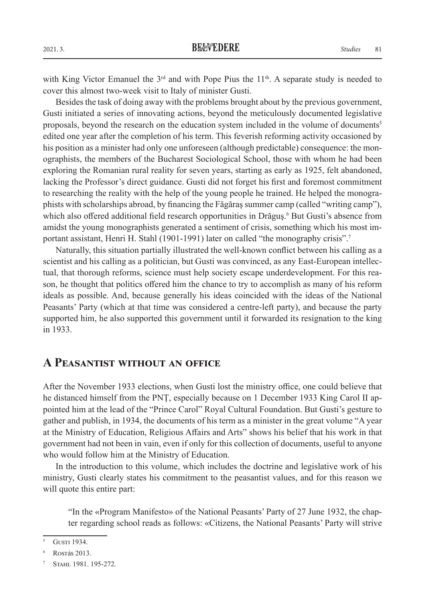with King Victor Emanuel the  $3<sup>rd</sup>$  and with Pope Pius the  $11<sup>th</sup>$ . A separate study is needed to cover this almost two-week visit to Italy of minister Gusti.

Besides the task of doing away with the problems brought about by the previous government, Gusti initiated a series of innovating actions, beyond the meticulously documented legislative proposals, beyond the research on the education system included in the volume of documents5 edited one year after the completion of his term. This feverish reforming activity occasioned by his position as a minister had only one unforeseen (although predictable) consequence: the monographists, the members of the Bucharest Sociological School, those with whom he had been exploring the Romanian rural reality for seven years, starting as early as 1925, felt abandoned, lacking the Professor's direct guidance. Gusti did not forget his first and foremost commitment to researching the reality with the help of the young people he trained. He helped the monographists with scholarships abroad, by financing the Făgăraş summer camp (called "writing camp"), which also offered additional field research opportunities in Drăguș.<sup>6</sup> But Gusti's absence from amidst the young monographists generated a sentiment of crisis, something which his most important assistant, Henri H. Stahl (1901-1991) later on called "the monography crisis".<sup>7</sup>

Naturally, this situation partially illustrated the well-known conflict between his calling as a scientist and his calling as a politician, but Gusti was convinced, as any East-European intellectual, that thorough reforms, science must help society escape underdevelopment. For this reason, he thought that politics offered him the chance to try to accomplish as many of his reform ideals as possible. And, because generally his ideas coincided with the ideas of the National Peasants' Party (which at that time was considered a centre-left party), and because the party supported him, he also supported this government until it forwarded its resignation to the king in 1933.

#### **A Peasantist without an office**

After the November 1933 elections, when Gusti lost the ministry office, one could believe that he distanced himself from the PNȚ, especially because on 1 December 1933 King Carol II appointed him at the lead of the "Prince Carol" Royal Cultural Foundation. But Gusti's gesture to gather and publish, in 1934, the documents of his term as a minister in the great volume "A year at the Ministry of Education, Religious Affairs and Arts" shows his belief that his work in that government had not been in vain, even if only for this collection of documents, useful to anyone who would follow him at the Ministry of Education.

In the introduction to this volume, which includes the doctrine and legislative work of his ministry, Gusti clearly states his commitment to the peasantist values, and for this reason we will quote this entire part:

"In the «Program Manifesto» of the National Peasants' Party of 27 June 1932, the chapter regarding school reads as follows: «Citizens, the National Peasants' Party will strive

<sup>&</sup>lt;sup>5</sup> GUSTI 1934.

<sup>6</sup> Rostás 2013.

STAHL 1981. 195-272.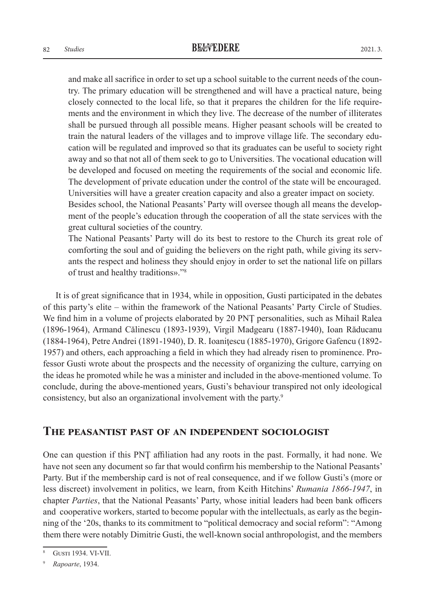and make all sacrifice in order to set up a school suitable to the current needs of the country. The primary education will be strengthened and will have a practical nature, being closely connected to the local life, so that it prepares the children for the life requirements and the environment in which they live. The decrease of the number of illiterates shall be pursued through all possible means. Higher peasant schools will be created to train the natural leaders of the villages and to improve village life. The secondary education will be regulated and improved so that its graduates can be useful to society right away and so that not all of them seek to go to Universities. The vocational education will be developed and focused on meeting the requirements of the social and economic life. The development of private education under the control of the state will be encouraged. Universities will have a greater creation capacity and also a greater impact on society. Besides school, the National Peasants' Party will oversee though all means the develop-

ment of the people's education through the cooperation of all the state services with the great cultural societies of the country.

The National Peasants' Party will do its best to restore to the Church its great role of comforting the soul and of guiding the believers on the right path, while giving its servants the respect and holiness they should enjoy in order to set the national life on pillars of trust and healthy traditions»."8

It is of great significance that in 1934, while in opposition, Gusti participated in the debates of this party's elite – within the framework of the National Peasants' Party Circle of Studies. We find him in a volume of projects elaborated by 20 PNŢ personalities, such as Mihail Ralea (1896-1964), Armand Călinescu (1893-1939), Virgil Madgearu (1887-1940), Ioan Răducanu (1884-1964), Petre Andrei (1891-1940), D. R. Ioaniţescu (1885-1970), Grigore Gafencu (1892- 1957) and others, each approaching a field in which they had already risen to prominence. Professor Gusti wrote about the prospects and the necessity of organizing the culture, carrying on the ideas he promoted while he was a minister and included in the above-mentioned volume. To conclude, during the above-mentioned years, Gusti's behaviour transpired not only ideological consistency, but also an organizational involvement with the party.9

#### **The peasantist past of an independent sociologist**

One can question if this PNŢ affiliation had any roots in the past. Formally, it had none. We have not seen any document so far that would confirm his membership to the National Peasants' Party. But if the membership card is not of real consequence, and if we follow Gusti's (more or less discreet) involvement in politics, we learn, from Keith Hitchins' *Rumania 1866-1947*, in chapter *Parties*, that the National Peasants' Party, whose initial leaders had been bank officers and cooperative workers, started to become popular with the intellectuals, as early as the beginning of the '20s, thanks to its commitment to "political democracy and social reform": "Among them there were notably Dimitrie Gusti, the well-known social anthropologist, and the members

Gusti 1934. VI-VII.

<sup>9</sup> *Rapoarte*, 1934.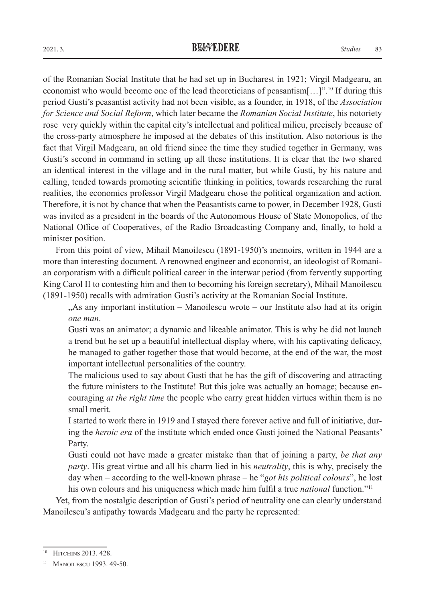of the Romanian Social Institute that he had set up in Bucharest in 1921; Virgil Madgearu, an economist who would become one of the lead theoreticians of peasantism $[\dots]$ ".<sup>10</sup> If during this period Gusti's peasantist activity had not been visible, as a founder, in 1918, of the *Association for Science and Social Reform*, which later became the *Romanian Social Institute*, his notoriety rose very quickly within the capital city's intellectual and political milieu, precisely because of the cross-party atmosphere he imposed at the debates of this institution. Also notorious is the fact that Virgil Madgearu, an old friend since the time they studied together in Germany, was Gusti's second in command in setting up all these institutions. It is clear that the two shared an identical interest in the village and in the rural matter, but while Gusti, by his nature and calling, tended towards promoting scientific thinking in politics, towards researching the rural realities, the economics professor Virgil Madgearu chose the political organization and action. Therefore, it is not by chance that when the Peasantists came to power, in December 1928, Gusti was invited as a president in the boards of the Autonomous House of State Monopolies, of the National Office of Cooperatives, of the Radio Broadcasting Company and, finally, to hold a minister position.

From this point of view, Mihail Manoilescu (1891-1950)'s memoirs, written in 1944 are a more than interesting document. A renowned engineer and economist, an ideologist of Romanian corporatism with a difficult political career in the interwar period (from fervently supporting King Carol II to contesting him and then to becoming his foreign secretary), Mihail Manoilescu (1891-1950) recalls with admiration Gusti's activity at the Romanian Social Institute.

"As any important institution – Manoilescu wrote – our Institute also had at its origin *one man*.

Gusti was an animator; a dynamic and likeable animator. This is why he did not launch a trend but he set up a beautiful intellectual display where, with his captivating delicacy, he managed to gather together those that would become, at the end of the war, the most important intellectual personalities of the country.

The malicious used to say about Gusti that he has the gift of discovering and attracting the future ministers to the Institute! But this joke was actually an homage; because encouraging *at the right time* the people who carry great hidden virtues within them is no small merit.

I started to work there in 1919 and I stayed there forever active and full of initiative, during the *heroic era* of the institute which ended once Gusti joined the National Peasants' Party.

Gusti could not have made a greater mistake than that of joining a party, *be that any party*. His great virtue and all his charm lied in his *neutrality*, this is why, precisely the day when – according to the well-known phrase – he "*got his political colours*", he lost his own colours and his uniqueness which made him fulfil a true *national* function."11

Yet, from the nostalgic description of Gusti's period of neutrality one can clearly understand Manoilescu's antipathy towards Madgearu and the party he represented:

<sup>&</sup>lt;sup>10</sup> HITCHINS 2013, 428.

<sup>&</sup>lt;sup>11</sup> MANOILESCU 1993. 49-50.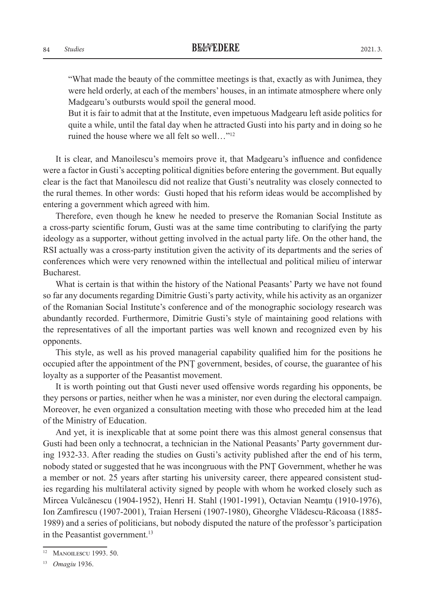"What made the beauty of the committee meetings is that, exactly as with Junimea, they were held orderly, at each of the members' houses, in an intimate atmosphere where only Madgearu's outbursts would spoil the general mood.

But it is fair to admit that at the Institute, even impetuous Madgearu left aside politics for quite a while, until the fatal day when he attracted Gusti into his party and in doing so he ruined the house where we all felt so well…"12

It is clear, and Manoilescu's memoirs prove it, that Madgearu's influence and confidence were a factor in Gusti's accepting political dignities before entering the government. But equally clear is the fact that Manoilescu did not realize that Gusti's neutrality was closely connected to the rural themes. In other words: Gusti hoped that his reform ideas would be accomplished by entering a government which agreed with him.

Therefore, even though he knew he needed to preserve the Romanian Social Institute as a cross-party scientific forum, Gusti was at the same time contributing to clarifying the party ideology as a supporter, without getting involved in the actual party life. On the other hand, the RSI actually was a cross-party institution given the activity of its departments and the series of conferences which were very renowned within the intellectual and political milieu of interwar Bucharest.

What is certain is that within the history of the National Peasants' Party we have not found so far any documents regarding Dimitrie Gusti's party activity, while his activity as an organizer of the Romanian Social Institute's conference and of the monographic sociology research was abundantly recorded. Furthermore, Dimitrie Gusti's style of maintaining good relations with the representatives of all the important parties was well known and recognized even by his opponents.

This style, as well as his proved managerial capability qualified him for the positions he occupied after the appointment of the PNŢ government, besides, of course, the guarantee of his loyalty as a supporter of the Peasantist movement.

It is worth pointing out that Gusti never used offensive words regarding his opponents, be they persons or parties, neither when he was a minister, nor even during the electoral campaign. Moreover, he even organized a consultation meeting with those who preceded him at the lead of the Ministry of Education.

And yet, it is inexplicable that at some point there was this almost general consensus that Gusti had been only a technocrat, a technician in the National Peasants' Party government during 1932-33. After reading the studies on Gusti's activity published after the end of his term, nobody stated or suggested that he was incongruous with the PNŢ Government, whether he was a member or not. 25 years after starting his university career, there appeared consistent studies regarding his multilateral activity signed by people with whom he worked closely such as Mircea Vulcănescu (1904-1952), Henri H. Stahl (1901-1991), Octavian Neamţu (1910-1976), Ion Zamfirescu (1907-2001), Traian Herseni (1907-1980), Gheorghe Vlădescu-Răcoasa (1885- 1989) and a series of politicians, but nobody disputed the nature of the professor's participation in the Peasantist government.<sup>13</sup>

<sup>&</sup>lt;sup>12</sup> MANOILESCU 1993. 50.

<sup>13</sup> *Omagiu* 1936.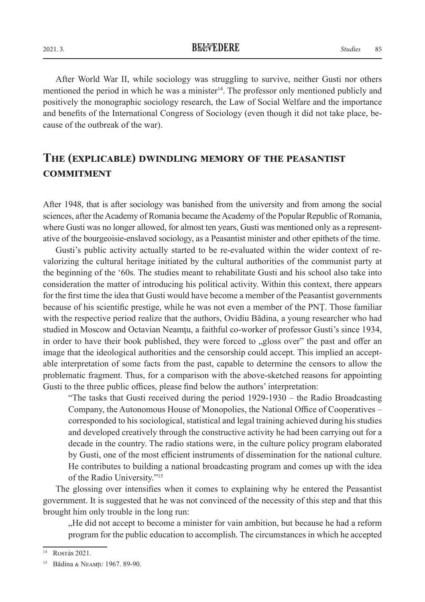After World War II, while sociology was struggling to survive, neither Gusti nor others mentioned the period in which he was a minister<sup>14</sup>. The professor only mentioned publicly and positively the monographic sociology research, the Law of Social Welfare and the importance and benefits of the International Congress of Sociology (even though it did not take place, because of the outbreak of the war).

## **The (explicable) dwindling memory of the peasantist commitment**

After 1948, that is after sociology was banished from the university and from among the social sciences, after the Academy of Romania became the Academy of the Popular Republic of Romania, where Gusti was no longer allowed, for almost ten years, Gusti was mentioned only as a representative of the bourgeoisie-enslaved sociology, as a Peasantist minister and other epithets of the time.

Gusti's public activity actually started to be re-evaluated within the wider context of revalorizing the cultural heritage initiated by the cultural authorities of the communist party at the beginning of the '60s. The studies meant to rehabilitate Gusti and his school also take into consideration the matter of introducing his political activity. Within this context, there appears for the first time the idea that Gusti would have become a member of the Peasantist governments because of his scientific prestige, while he was not even a member of the PNŢ. Those familiar with the respective period realize that the authors, Ovidiu Bădina, a young researcher who had studied in Moscow and Octavian Neamtu, a faithful co-worker of professor Gusti's since 1934, in order to have their book published, they were forced to "gloss over" the past and offer an image that the ideological authorities and the censorship could accept. This implied an acceptable interpretation of some facts from the past, capable to determine the censors to allow the problematic fragment. Thus, for a comparison with the above-sketched reasons for appointing Gusti to the three public offices, please find below the authors' interpretation:

"The tasks that Gusti received during the period 1929-1930 – the Radio Broadcasting Company, the Autonomous House of Monopolies, the National Office of Cooperatives – corresponded to his sociological, statistical and legal training achieved during his studies and developed creatively through the constructive activity he had been carrying out for a decade in the country. The radio stations were, in the culture policy program elaborated by Gusti, one of the most efficient instruments of dissemination for the national culture. He contributes to building a national broadcasting program and comes up with the idea of the Radio University."15

The glossing over intensifies when it comes to explaining why he entered the Peasantist government. It is suggested that he was not convinced of the necessity of this step and that this brought him only trouble in the long run:

"He did not accept to become a minister for vain ambition, but because he had a reform program for the public education to accomplish. The circumstances in which he accepted

**Rostás 2021.** 

<sup>15</sup> Bădina & Neamțu 1967. 89-90.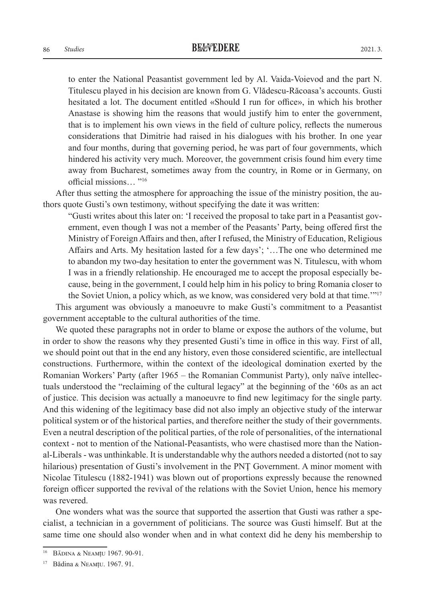to enter the National Peasantist government led by Al. Vaida-Voievod and the part N. Titulescu played in his decision are known from G. Vlădescu-Răcoasa's accounts. Gusti hesitated a lot. The document entitled «Should I run for office», in which his brother Anastase is showing him the reasons that would justify him to enter the government, that is to implement his own views in the field of culture policy, reflects the numerous considerations that Dimitrie had raised in his dialogues with his brother. In one year and four months, during that governing period, he was part of four governments, which hindered his activity very much. Moreover, the government crisis found him every time away from Bucharest, sometimes away from the country, in Rome or in Germany, on

official missions… "16

After thus setting the atmosphere for approaching the issue of the ministry position, the authors quote Gusti's own testimony, without specifying the date it was written:

"Gusti writes about this later on: 'I received the proposal to take part in a Peasantist government, even though I was not a member of the Peasants' Party, being offered first the Ministry of Foreign Affairs and then, after I refused, the Ministry of Education, Religious Affairs and Arts. My hesitation lasted for a few days'; '…The one who determined me to abandon my two-day hesitation to enter the government was N. Titulescu, with whom I was in a friendly relationship. He encouraged me to accept the proposal especially because, being in the government, I could help him in his policy to bring Romania closer to the Soviet Union, a policy which, as we know, was considered very bold at that time.'"17

This argument was obviously a manoeuvre to make Gusti's commitment to a Peasantist government acceptable to the cultural authorities of the time.

We quoted these paragraphs not in order to blame or expose the authors of the volume, but in order to show the reasons why they presented Gusti's time in office in this way. First of all, we should point out that in the end any history, even those considered scientific, are intellectual constructions. Furthermore, within the context of the ideological domination exerted by the Romanian Workers' Party (after 1965 – the Romanian Communist Party), only naïve intellectuals understood the "reclaiming of the cultural legacy" at the beginning of the '60s as an act of justice. This decision was actually a manoeuvre to find new legitimacy for the single party. And this widening of the legitimacy base did not also imply an objective study of the interwar political system or of the historical parties, and therefore neither the study of their governments. Even a neutral description of the political parties, of the role of personalities, of the international context - not to mention of the National-Peasantists, who were chastised more than the National-Liberals - was unthinkable. It is understandable why the authors needed a distorted (not to say hilarious) presentation of Gusti's involvement in the PNŢ Government. A minor moment with Nicolae Titulescu (1882-1941) was blown out of proportions expressly because the renowned foreign officer supported the revival of the relations with the Soviet Union, hence his memory was revered.

One wonders what was the source that supported the assertion that Gusti was rather a specialist, a technician in a government of politicians. The source was Gusti himself. But at the same time one should also wonder when and in what context did he deny his membership to

<sup>16</sup> Bădina & Neamțu 1967. 90-91.

<sup>17</sup> Bădina & Neamțu. 1967. 91.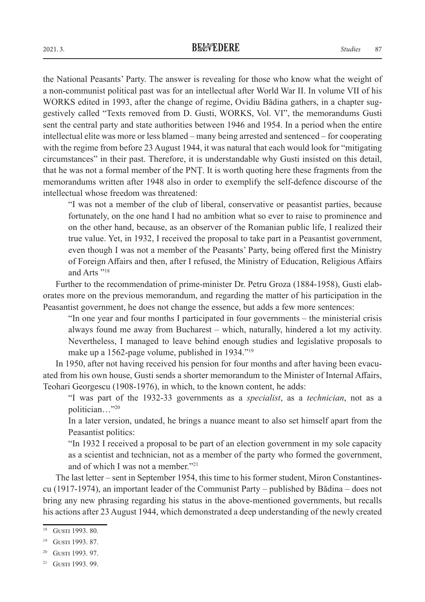the National Peasants' Party. The answer is revealing for those who know what the weight of a non-communist political past was for an intellectual after World War II. In volume VII of his WORKS edited in 1993, after the change of regime, Ovidiu Bădina gathers, in a chapter suggestively called "Texts removed from D. Gusti, WORKS, Vol. VI", the memorandums Gusti sent the central party and state authorities between 1946 and 1954. In a period when the entire intellectual elite was more or less blamed – many being arrested and sentenced – for cooperating with the regime from before 23 August 1944, it was natural that each would look for "mitigating circumstances" in their past. Therefore, it is understandable why Gusti insisted on this detail, that he was not a formal member of the PNŢ. It is worth quoting here these fragments from the memorandums written after 1948 also in order to exemplify the self-defence discourse of the intellectual whose freedom was threatened:

"I was not a member of the club of liberal, conservative or peasantist parties, because fortunately, on the one hand I had no ambition what so ever to raise to prominence and on the other hand, because, as an observer of the Romanian public life, I realized their true value. Yet, in 1932, I received the proposal to take part in a Peasantist government, even though I was not a member of the Peasants' Party, being offered first the Ministry of Foreign Affairs and then, after I refused, the Ministry of Education, Religious Affairs and Arts "18

Further to the recommendation of prime-minister Dr. Petru Groza (1884-1958), Gusti elaborates more on the previous memorandum, and regarding the matter of his participation in the Peasantist government, he does not change the essence, but adds a few more sentences:

"In one year and four months I participated in four governments – the ministerial crisis always found me away from Bucharest – which, naturally, hindered a lot my activity. Nevertheless, I managed to leave behind enough studies and legislative proposals to make up a 1562-page volume, published in 1934."19

In 1950, after not having received his pension for four months and after having been evacuated from his own house, Gusti sends a shorter memorandum to the Minister of Internal Affairs, Teohari Georgescu (1908-1976), in which, to the known content, he adds:

"I was part of the 1932-33 governments as a *specialist*, as a *technician*, not as a politician…"20

In a later version, undated, he brings a nuance meant to also set himself apart from the Peasantist politics:

"In 1932 I received a proposal to be part of an election government in my sole capacity as a scientist and technician, not as a member of the party who formed the government, and of which I was not a member."21

The last letter – sent in September 1954, this time to his former student, Miron Constantinescu (1917-1974), an important leader of the Communist Party – published by Bădina – does not bring any new phrasing regarding his status in the above-mentioned governments, but recalls his actions after 23 August 1944, which demonstrated a deep understanding of the newly created

<sup>&</sup>lt;sup>18</sup> GUSTI 1993, 80.

<sup>&</sup>lt;sup>19</sup> GUSTI 1993, 87.

<sup>&</sup>lt;sup>20</sup> GUSTI 1993. 97.

<sup>&</sup>lt;sup>21</sup> GUSTI 1993. 99.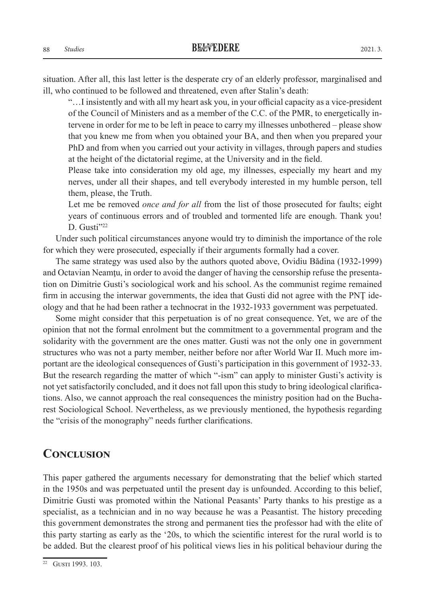situation. After all, this last letter is the desperate cry of an elderly professor, marginalised and ill, who continued to be followed and threatened, even after Stalin's death:

"…I insistently and with all my heart ask you, in your official capacity as a vice-president of the Council of Ministers and as a member of the C.C. of the PMR, to energetically intervene in order for me to be left in peace to carry my illnesses unbothered – please show that you knew me from when you obtained your BA, and then when you prepared your PhD and from when you carried out your activity in villages, through papers and studies at the height of the dictatorial regime, at the University and in the field.

Please take into consideration my old age, my illnesses, especially my heart and my nerves, under all their shapes, and tell everybody interested in my humble person, tell them, please, the Truth.

Let me be removed *once and for all* from the list of those prosecuted for faults; eight years of continuous errors and of troubled and tormented life are enough. Thank you! D. Gusti $"22$ 

Under such political circumstances anyone would try to diminish the importance of the role for which they were prosecuted, especially if their arguments formally had a cover.

The same strategy was used also by the authors quoted above, Ovidiu Bădina (1932-1999) and Octavian Neamțu, in order to avoid the danger of having the censorship refuse the presentation on Dimitrie Gusti's sociological work and his school. As the communist regime remained firm in accusing the interwar governments, the idea that Gusti did not agree with the PNT ideology and that he had been rather a technocrat in the 1932-1933 government was perpetuated.

Some might consider that this perpetuation is of no great consequence. Yet, we are of the opinion that not the formal enrolment but the commitment to a governmental program and the solidarity with the government are the ones matter. Gusti was not the only one in government structures who was not a party member, neither before nor after World War II. Much more important are the ideological consequences of Gusti's participation in this government of 1932-33. But the research regarding the matter of which "-ism" can apply to minister Gusti's activity is not yet satisfactorily concluded, and it does not fall upon this study to bring ideological clarifications. Also, we cannot approach the real consequences the ministry position had on the Bucharest Sociological School. Nevertheless, as we previously mentioned, the hypothesis regarding the "crisis of the monography" needs further clarifications.

#### **Conclusion**

This paper gathered the arguments necessary for demonstrating that the belief which started in the 1950s and was perpetuated until the present day is unfounded. According to this belief, Dimitrie Gusti was promoted within the National Peasants' Party thanks to his prestige as a specialist, as a technician and in no way because he was a Peasantist. The history preceding this government demonstrates the strong and permanent ties the professor had with the elite of this party starting as early as the '20s, to which the scientific interest for the rural world is to be added. But the clearest proof of his political views lies in his political behaviour during the

<sup>&</sup>lt;sup>22</sup> GUSTI 1993. 103.